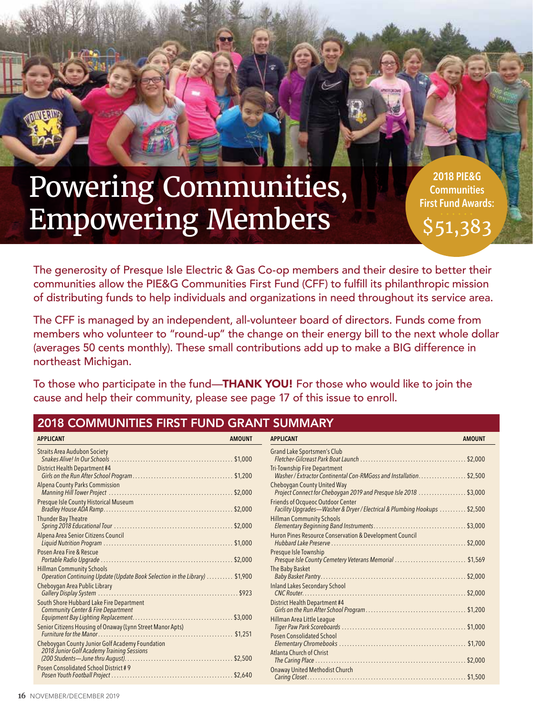# Powering Communities, Empowering Members

**2018 PIE&G Communities First Fund Awards:**  \$51,383

The generosity of Presque Isle Electric & Gas Co-op members and their desire to better their communities allow the PIE&G Communities First Fund (CFF) to fulfill its philanthropic mission of distributing funds to help individuals and organizations in need throughout its service area.

The CFF is managed by an independent, all-volunteer board of directors. Funds come from members who volunteer to "round-up" the change on their energy bill to the next whole dollar (averages 50 cents monthly). These small contributions add up to make a BIG difference in northeast Michigan.

To those who participate in the fund—THANK YOU! For those who would like to join the cause and help their community, please see page 17 of this issue to enroll.

## 2018 COMMUNITIES FIRST FUND GRANT SUMMARY

| <b>APPLICANT</b>                                                                                                | <b>AMOUNT</b> | <b>APPLICANT</b>                                                                                                      | <b>AMOUNT</b> |
|-----------------------------------------------------------------------------------------------------------------|---------------|-----------------------------------------------------------------------------------------------------------------------|---------------|
| <b>Straits Area Audubon Society</b>                                                                             |               | Grand Lake Sportsmen's Club                                                                                           |               |
| District Health Department #4                                                                                   |               | <b>Tri-Township Fire Department</b><br>Washer / Extractor Continental Con-RMGoss and Installation. \$2,500            |               |
| <b>Alpena County Parks Commission</b>                                                                           |               | Cheboygan County United Way<br>Project Connect for Cheboygan 2019 and Presque Isle 2018                               | $.$ \$3,000   |
| Presque Isle County Historical Museum                                                                           |               | <b>Friends of Ocqueoc Outdoor Center</b><br>Facility Upgrades-Washer & Dryer / Electrical & Plumbing Hookups  \$2,500 |               |
| <b>Thunder Bay Theatre</b>                                                                                      |               | <b>Hillman Community Schools</b>                                                                                      |               |
| Alpena Area Senior Citizens Council                                                                             |               | Huron Pines Resource Conservation & Development Council                                                               |               |
| Posen Area Fire & Rescue                                                                                        |               | Presque Isle Township<br>Presque Isle County Cemetery Veterans Memorial \$1,569                                       |               |
| <b>Hillman Community Schools</b><br>Operation Continuing Update (Update Book Selection in the Library)  \$1,900 |               | The Baby Basket                                                                                                       |               |
| Cheboygan Area Public Library                                                                                   |               | <b>Inland Lakes Secondary School</b>                                                                                  |               |
| South Shore Hubbard Lake Fire Department<br><b>Community Center &amp; Fire Department</b>                       |               | District Health Department #4                                                                                         |               |
| Senior Citizens Housing of Onaway (Lynn Street Manor Apts)                                                      |               | Hillman Area Little League                                                                                            |               |
| Cheboygan County Junior Golf Academy Foundation                                                                 |               | Posen Consolidated School                                                                                             |               |
| 2018 Junior Golf Academy Training Sessions                                                                      |               | Atlanta Church of Christ                                                                                              |               |
| Posen Consolidated School District #9                                                                           |               | Onaway United Methodist Church                                                                                        |               |